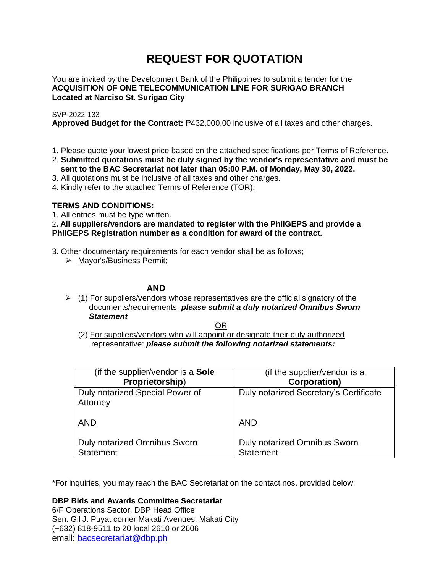# **REQUEST FOR QUOTATION**

You are invited by the Development Bank of the Philippines to submit a tender for the **ACQUISITION OF ONE TELECOMMUNICATION LINE FOR SURIGAO BRANCH Located at Narciso St. Surigao City**

# SVP-2022-133

**Approved Budget for the Contract:** ₱432,000.00 inclusive of all taxes and other charges.

- 1. Please quote your lowest price based on the attached specifications per Terms of Reference.
- 2. **Submitted quotations must be duly signed by the vendor's representative and must be sent to the BAC Secretariat not later than 05:00 P.M. of Monday, May 30, 2022.**
- 3. All quotations must be inclusive of all taxes and other charges.
- 4. Kindly refer to the attached Terms of Reference (TOR).

# **TERMS AND CONDITIONS:**

1. All entries must be type written.

2**. All suppliers/vendors are mandated to register with the PhilGEPS and provide a PhilGEPS Registration number as a condition for award of the contract.**

- 3. Other documentary requirements for each vendor shall be as follows;
	- > Mayor's/Business Permit;

# **AND**

 $\geq$  (1) For suppliers/vendors whose representatives are the official signatory of the documents/requirements: *please submit a duly notarized Omnibus Sworn Statement*

<u>OR Starting and the Starting OR Starting</u>

(2) For suppliers/vendors who will appoint or designate their duly authorized representative: *please submit the following notarized statements:*

| (if the supplier/vendor is a Sole                | (if the supplier/vendor is a                     |
|--------------------------------------------------|--------------------------------------------------|
| Proprietorship)                                  | <b>Corporation)</b>                              |
| Duly notarized Special Power of<br>Attorney      | Duly notarized Secretary's Certificate           |
| <b>AND</b>                                       | <b>AND</b>                                       |
| Duly notarized Omnibus Sworn<br><b>Statement</b> | Duly notarized Omnibus Sworn<br><b>Statement</b> |

\*For inquiries, you may reach the BAC Secretariat on the contact nos. provided below:

**DBP Bids and Awards Committee Secretariat** 

6/F Operations Sector, DBP Head Office Sen. Gil J. Puyat corner Makati Avenues, Makati City (+632) 818-9511 to 20 local 2610 or 2606 email: [bacsecretariat@dbp.ph](mailto:bacsecretariat@dbp.ph)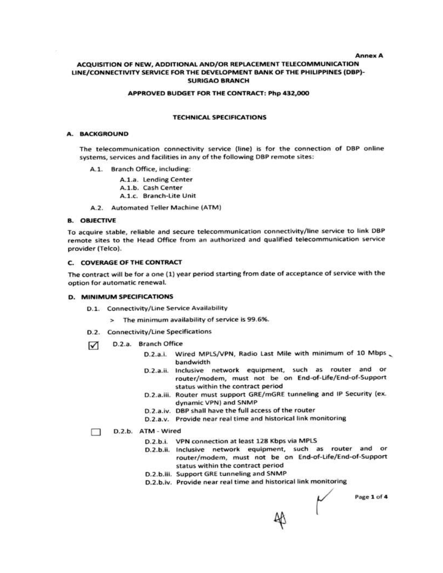#### **Annex A**

## ACQUISITION OF NEW, ADDITIONAL AND/OR REPLACEMENT TELECOMMUNICATION LINE/CONNECTIVITY SERVICE FOR THE DEVELOPMENT BANK OF THE PHILIPPINES (DBP)-**SURIGAO BRANCH**

#### APPROVED BUDGET FOR THE CONTRACT: Php 432,000

#### **TECHNICAL SPECIFICATIONS**

#### A. BACKGROUND

The telecommunication connectivity service (line) is for the connection of DBP online systems, services and facilities in any of the following DBP remote sites:

- A.1. Branch Office, including:
	- A.1.a. Lending Center
	- A.1.b. Cash Center
	- A.1.c. Branch-Lite Unit
- A.2. Automated Teller Machine (ATM)

#### **B. OBJECTIVE**

To acquire stable, reliable and secure telecommunication connectivity/line service to link DBP remote sites to the Head Office from an authorized and qualified telecommunication service provider (Telco).

## C. COVERAGE OF THE CONTRACT

The contract will be for a one (1) year period starting from date of acceptance of service with the option for automatic renewal.

#### **D. MINIMUM SPECIFICATIONS**

- D.1. Connectivity/Line Service Availability
	- > The minimum availability of service is 99.6%.
- D.2. Connectivity/Line Specifications
- D.2.a. Branch Office  $\triangledown$ 
	- D.2.a.i. Wired MPLS/VPN, Radio Last Mile with minimum of 10 Mbps bandwidth
	- D.2.a.ii. Inclusive network equipment, such as router and or router/modem, must not be on End-of-Life/End-of-Support status within the contract period
	- D.2.a.iii. Router must support GRE/mGRE tunneling and IP Security (ex. dynamic VPN) and SNMP
	- D.2.a.iv. DBP shall have the full access of the router
	- D.2.a.v. Provide near real time and historical link monitoring

#### D.2.b. ATM - Wired n

- D.2.b.i. VPN connection at least 128 Kbps via MPLS
- D.2.b.ii. Inclusive network equipment, such as router and or router/modem, must not be on End-of-Life/End-of-Support status within the contract period
- D.2.b.iii. Support GRE tunneling and SNMP
- D.2.b.iv. Provide near real time and historical link monitoring

Page 1 of 4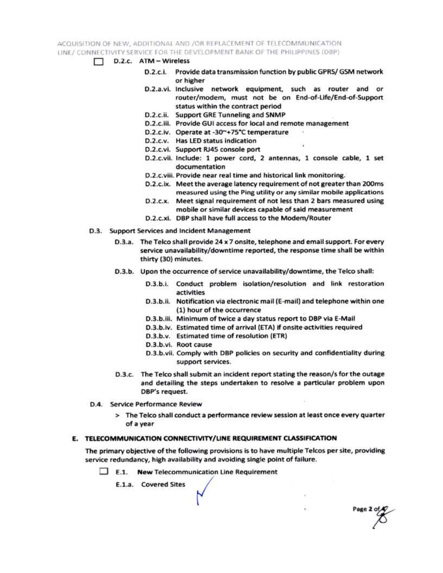ACQUISITION OF NEW, ADDITIONAL AND /OR REPLACEMENT OF TELECOMMUNICATION LINE / CONNECTIVITY SERVICE FOR THE DEVELOPMENT BANK OF THE PHILIPPINES (DBP)

- $\Box$  D.2.c. ATM Wireless
	- D.2.c.i. Provide data transmission function by public GPRS/ GSM network or higher
	- D.2.a.vi. Inclusive network equipment, such as router and or router/modem, must not be on End-of-Life/End-of-Support status within the contract period
	- D.2.c.ii. Support GRE Tunneling and SNMP
	- D.2.c.iii. Provide GUI access for local and remote management
	- D.2.c.iv. Operate at -30~+75°C temperature
	- D.2.c.v. Has LED status indication
	- D.2.c.vi. Support RJ45 console port
	- D.2.c.vii. Include: 1 power cord, 2 antennas, 1 console cable, 1 set documentation
	- D.2.c.viii. Provide near real time and historical link monitoring.
	- D.2.c.ix. Meet the average latency requirement of not greater than 200ms measured using the Ping utility or any similar mobile applications
	- D.2.c.x. Meet signal requirement of not less than 2 bars measured using mobile or similar devices capable of said measurement
	- D.2.c.xi. DBP shall have full access to the Modem/Router
- D.3. Support Services and Incident Management
	- D.3.a. The Telco shall provide 24 x 7 onsite, telephone and email support. For every service unavailability/downtime reported, the response time shall be within thirty (30) minutes.
	- D.3.b. Upon the occurrence of service unavailability/downtime, the Telco shall:
		- D.3.b.i. Conduct problem isolation/resolution and link restoration activities
		- D.3.b.ii. Notification via electronic mail (E-mail) and telephone within one (1) hour of the occurrence
		- D.3.b.iii. Minimum of twice a day status report to DBP via E-Mail
		- D.3.b.iv. Estimated time of arrival (ETA) if onsite activities required
		- D.3.b.v. Estimated time of resolution (ETR)
		- D.3.b.vi. Root cause
		- D.3.b.vii. Comply with DBP policies on security and confidentiality during support services.

Page 2 of

- D.3.c. The Telco shall submit an incident report stating the reason/s for the outage and detailing the steps undertaken to resolve a particular problem upon DBP's request.
- D.4. Service Performance Review
	- > The Telco shall conduct a performance review session at least once every quarter of a year

# E. TELECOMMUNICATION CONNECTIVITY/LINE REQUIREMENT CLASSIFICATION

The primary objective of the following provisions is to have multiple Telcos per site, providing service redundancy, high availability and avoiding single point of failure.

 $\Box$  E.1. New Telecommunication Line Requirement

E.1.a. Covered Sites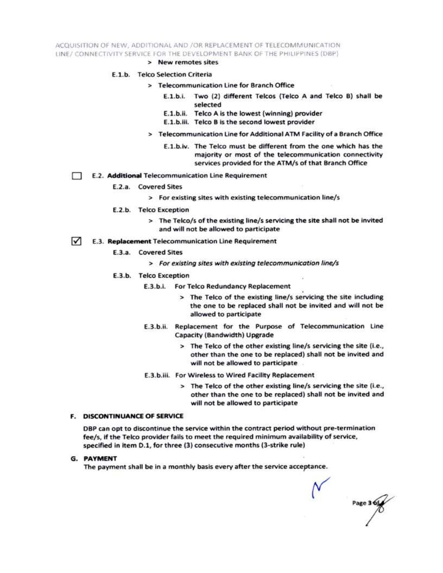ACQUISITION OF NEW, ADDITIONAL AND /OR REPLACEMENT OF TELECOMMUNICATION LINE/ CONNECTIVITY SERVICE FOR THE DEVELOPMENT BANK OF THE PHILIPPINES (DBP)

> New remotes sites

#### E.1.b. Telco Selection Criteria

- > Telecommunication Line for Branch Office
	- E.1.b.i. Two (2) different Telcos (Telco A and Telco B) shall be selected
	- E.1.b.ii. Telco A is the lowest (winning) provider
	- E.1.b.iii. Telco B is the second lowest provider
- > Telecommunication Line for Additional ATM Facility of a Branch Office
	- E.1.b.iv. The Telco must be different from the one which has the majority or most of the telecommunication connectivity services provided for the ATM/s of that Branch Office
- E.2. Additional Telecommunication Line Requirement Ð
	- E.2.a. Covered Sites
		- > For existing sites with existing telecommunication line/s
	- E.2.b. Telco Exception
		- > The Telco/s of the existing line/s servicing the site shall not be invited and will not be allowed to participate
- $\sqrt{ }$ E.3. Replacement Telecommunication Line Requirement
	- E.3.a. Covered Sites
		- > For existing sites with existing telecommunication line/s
	- E.3.b. Telco Exception
		- E.3.b.i. For Telco Redundancy Replacement
			- > The Telco of the existing line/s servicing the site including the one to be replaced shall not be invited and will not be allowed to participate
		- E.3.b.ii. Replacement for the Purpose of Telecommunication Line Capacity (Bandwidth) Upgrade
			- > The Telco of the other existing line/s servicing the site (i.e., other than the one to be replaced) shall not be invited and will not be allowed to participate
		- E.3.b.iii. For Wireless to Wired Facility Replacement
			- > The Telco of the other existing line/s servicing the site (i.e., other than the one to be replaced) shall not be invited and will not be allowed to participate

#### **F. DISCONTINUANCE OF SERVICE**

DBP can opt to discontinue the service within the contract period without pre-termination fee/s, if the Telco provider fails to meet the required minimum availability of service, specified in item D.1, for three (3) consecutive months (3-strike rule)

**G. PAYMENT** 

The payment shall be in a monthly basis every after the service acceptance.

Page 3 6t